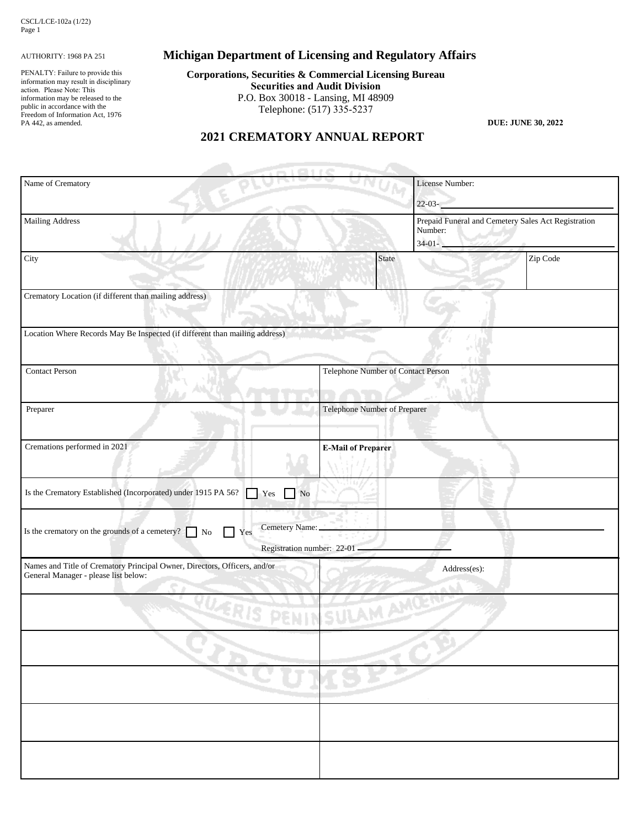#### AUTHORITY: 1968 PA 251

PENALTY: Failure to provide this information may result in disciplinary action. Please Note: This information may be released to the public in accordance with the Freedom of Information Act, 1976 PA 442, as amended.

# **Michigan Department of Licensing and Regulatory Affairs**

**Corporations, Securities & Commercial Licensing Bureau Securities and Audit Division** P.O. Box 30018 - Lansing, MI 48909 Telephone: (517) 335-5237

**DUE: JUNE 30, 2022**

## **2021 CREMATORY ANNUAL REPORT**

| Name of Crematory                                                                                                 |                                              | License Number:                    |                                                                                         |  |
|-------------------------------------------------------------------------------------------------------------------|----------------------------------------------|------------------------------------|-----------------------------------------------------------------------------------------|--|
|                                                                                                                   |                                              |                                    | $22 - 03 -$                                                                             |  |
| <b>Mailing Address</b>                                                                                            |                                              |                                    | Prepaid Funeral and Cemetery Sales Act Registration<br>Number:<br>$34-01-$<br>Entertain |  |
| City                                                                                                              | State                                        |                                    | Zip Code                                                                                |  |
| Crematory Location (if different than mailing address)                                                            |                                              |                                    |                                                                                         |  |
| Location Where Records May Be Inspected (if different than mailing address)                                       |                                              |                                    |                                                                                         |  |
| <b>Contact Person</b>                                                                                             |                                              | Telephone Number of Contact Person |                                                                                         |  |
| Preparer                                                                                                          |                                              | Telephone Number of Preparer       |                                                                                         |  |
| Cremations performed in 2021                                                                                      | <b>E-Mail of Preparer</b>                    |                                    |                                                                                         |  |
| Is the Crematory Established (Incorporated) under 1915 PA 56?<br>Yes No                                           |                                              |                                    |                                                                                         |  |
| Is the crematory on the grounds of a cemetery?<br>Yes<br>No                                                       | Cemetery Name:<br>Registration number: 22-01 |                                    |                                                                                         |  |
| Names and Title of Crematory Principal Owner, Directors, Officers, and/or<br>General Manager - please list below: |                                              | Address(es):                       |                                                                                         |  |
| PUCKIS PENINSULAM AMP                                                                                             |                                              |                                    |                                                                                         |  |
|                                                                                                                   |                                              |                                    |                                                                                         |  |
|                                                                                                                   |                                              |                                    |                                                                                         |  |
|                                                                                                                   |                                              |                                    |                                                                                         |  |
|                                                                                                                   |                                              |                                    |                                                                                         |  |